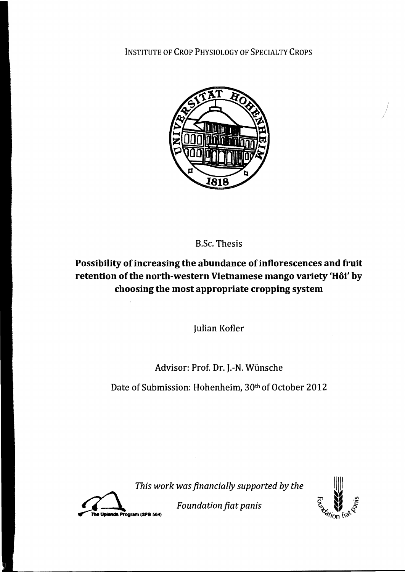INSTITUTE OF CROP PHYSIOLOGY OF SPECIALTY CROPS



B.Sc. Thesis

Possibility of increasing the abundance of inflorescences and fruit retention of the north-western Vietnamese mango variety 'Hôi' by **choosing the most appropriate cropping system** 

Julian Kofler

## Advisor: Prof. Dr. J.-N. Wünsche

Date of Submission: Hohenheim, 30th of October 2012

*This work was ftnancially supported by the* 



**1/** *Foundation fiat panis*  $\overline{\phantom{a}}$